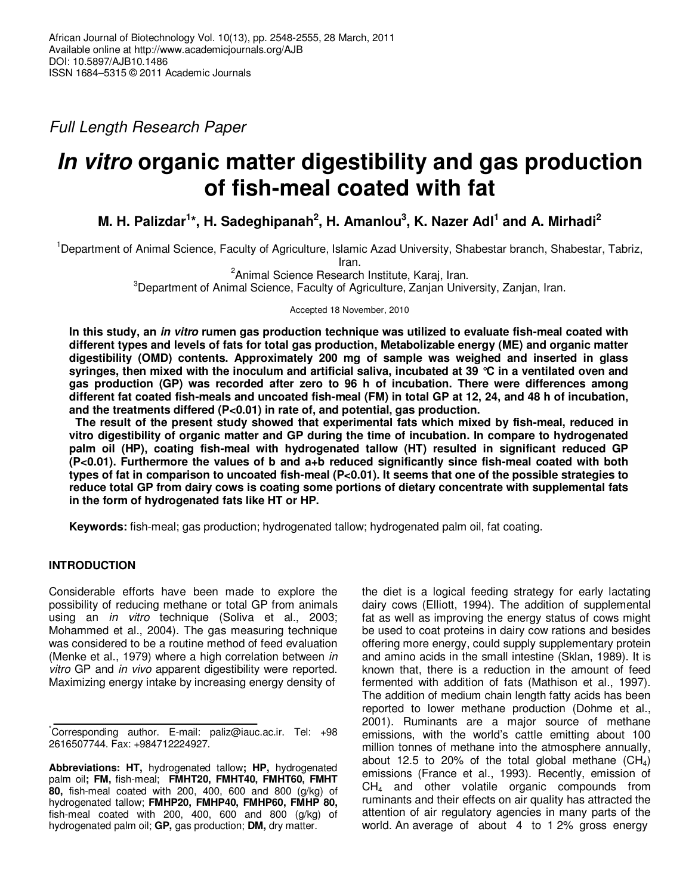Full Length Research Paper

# **In vitro organic matter digestibility and gas production of fish-meal coated with fat**

**M. H. Palizdar<sup>1</sup> \*, H. Sadeghipanah<sup>2</sup> , H. Amanlou<sup>3</sup> , K. Nazer Adl<sup>1</sup> and A. Mirhadi<sup>2</sup>**

<sup>1</sup>Department of Animal Science, Faculty of Agriculture, Islamic Azad University, Shabestar branch, Shabestar, Tabriz, Iran.

<sup>2</sup> Animal Science Research Institute, Karaj, Iran.

 ${}^{3}$ Department of Animal Science, Faculty of Agriculture, Zanjan University, Zanjan, Iran.

Accepted 18 November, 2010

**In this study, an in vitro rumen gas production technique was utilized to evaluate fish-meal coated with different types and levels of fats for total gas production, Metabolizable energy (ME) and organic matter digestibility (OMD) contents. Approximately 200 mg of sample was weighed and inserted in glass syringes, then mixed with the inoculum and artificial saliva, incubated at 39 °C in a ventilated oven and gas production (GP) was recorded after zero to 96 h of incubation. There were differences among different fat coated fish-meals and uncoated fish-meal (FM) in total GP at 12, 24, and 48 h of incubation, and the treatments differed (P<0.01) in rate of, and potential, gas production.** 

 **The result of the present study showed that experimental fats which mixed by fish-meal, reduced in vitro digestibility of organic matter and GP during the time of incubation. In compare to hydrogenated palm oil (HP), coating fish-meal with hydrogenated tallow (HT) resulted in significant reduced GP (P<0.01). Furthermore the values of b and a+b reduced significantly since fish-meal coated with both types of fat in comparison to uncoated fish-meal (P<0.01). It seems that one of the possible strategies to reduce total GP from dairy cows is coating some portions of dietary concentrate with supplemental fats in the form of hydrogenated fats like HT or HP.** 

**Keywords:** fish-meal; gas production; hydrogenated tallow; hydrogenated palm oil, fat coating.

# **INTRODUCTION**

Considerable efforts have been made to explore the possibility of reducing methane or total GP from animals using an in vitro technique (Soliva et al., 2003; Mohammed et al., 2004). The gas measuring technique was considered to be a routine method of feed evaluation (Menke et al., 1979) where a high correlation between in vitro GP and in vivo apparent digestibility were reported. Maximizing energy intake by increasing energy density of

the diet is a logical feeding strategy for early lactating dairy cows (Elliott, 1994). The addition of supplemental fat as well as improving the energy status of cows might be used to coat proteins in dairy cow rations and besides offering more energy, could supply supplementary protein and amino acids in the small intestine (Sklan, 1989). It is known that, there is a reduction in the amount of feed fermented with addition of fats (Mathison et al., 1997). The addition of medium chain length fatty acids has been reported to lower methane production (Dohme et al., 2001). Ruminants are a major source of methane emissions, with the world's cattle emitting about 100 million tonnes of methane into the atmosphere annually, about 12.5 to 20% of the total global methane  $(CH_4)$ emissions (France et al., 1993). Recently, emission of CH4 and other volatile organic compounds from ruminants and their effects on air quality has attracted the attention of air regulatory agencies in many parts of the world. An average of about 4 to 1 2% gross energy

<sup>\*</sup>Corresponding author. E-mail: paliz@iauc.ac.ir. Tel: +98 2616507744. Fax: +984712224927.

**Abbreviations: HT,** hydrogenated tallow**; HP,** hydrogenated palm oil**; FM,** fish-meal; **FMHT20, FMHT40, FMHT60, FMHT 80,** fish-meal coated with 200, 400, 600 and 800 (g/kg) of hydrogenated tallow; **FMHP20, FMHP40, FMHP60, FMHP 80,**  fish-meal coated with 200, 400, 600 and 800 (g/kg) of hydrogenated palm oil; **GP,** gas production; **DM,** dry matter.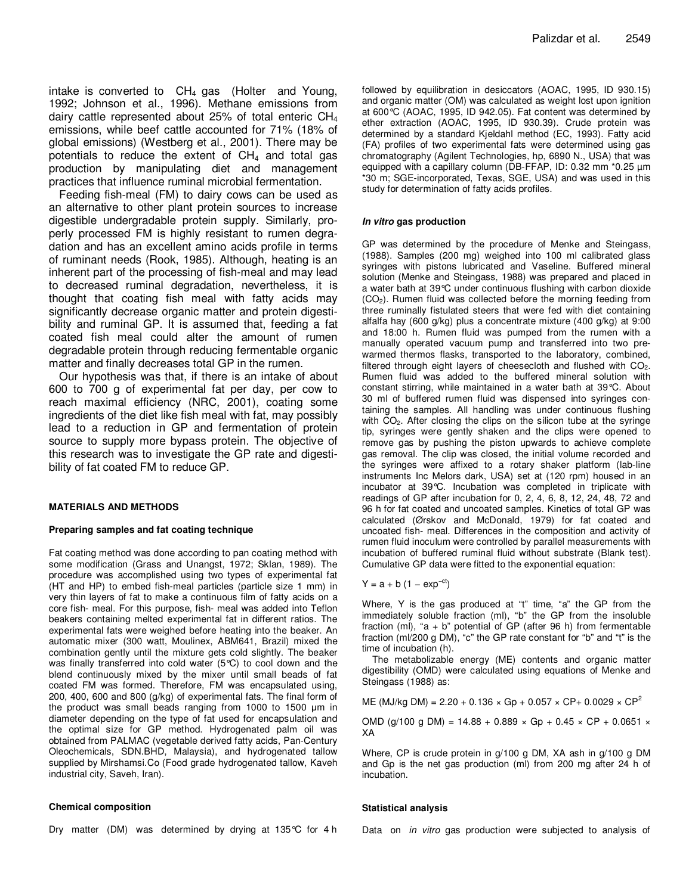intake is converted to  $CH<sub>4</sub>$  gas (Holter and Young, 1992; Johnson et al., 1996). Methane emissions from dairy cattle represented about 25% of total enteric CH<sup>4</sup> emissions, while beef cattle accounted for 71% (18% of global emissions) (Westberg et al., 2001). There may be potentials to reduce the extent of  $CH<sub>4</sub>$  and total gas production by manipulating diet and management practices that influence ruminal microbial fermentation.

Feeding fish-meal (FM) to dairy cows can be used as an alternative to other plant protein sources to increase digestible undergradable protein supply. Similarly, properly processed FM is highly resistant to rumen degradation and has an excellent amino acids profile in terms of ruminant needs (Rook, 1985). Although, heating is an inherent part of the processing of fish-meal and may lead to decreased ruminal degradation, nevertheless, it is thought that coating fish meal with fatty acids may significantly decrease organic matter and protein digestibility and ruminal GP. It is assumed that, feeding a fat coated fish meal could alter the amount of rumen degradable protein through reducing fermentable organic matter and finally decreases total GP in the rumen.

Our hypothesis was that, if there is an intake of about 600 to 700 g of experimental fat per day, per cow to reach maximal efficiency (NRC, 2001), coating some ingredients of the diet like fish meal with fat, may possibly lead to a reduction in GP and fermentation of protein source to supply more bypass protein. The objective of this research was to investigate the GP rate and digestibility of fat coated FM to reduce GP.

#### **MATERIALS AND METHODS**

#### **Preparing samples and fat coating technique**

Fat coating method was done according to pan coating method with some modification (Grass and Unangst, 1972; Sklan, 1989). The procedure was accomplished using two types of experimental fat (HT and HP) to embed fish-meal particles (particle size 1 mm) in very thin layers of fat to make a continuous film of fatty acids on a core fish- meal. For this purpose, fish- meal was added into Teflon beakers containing melted experimental fat in different ratios. The experimental fats were weighed before heating into the beaker. An automatic mixer (300 watt, Moulinex, ABM641, Brazil) mixed the combination gently until the mixture gets cold slightly. The beaker was finally transferred into cold water (5°C) to cool down and the blend continuously mixed by the mixer until small beads of fat coated FM was formed. Therefore, FM was encapsulated using, 200, 400, 600 and 800 (g/kg) of experimental fats. The final form of the product was small beads ranging from 1000 to 1500 µm in diameter depending on the type of fat used for encapsulation and the optimal size for GP method. Hydrogenated palm oil was obtained from PALMAC (vegetable derived fatty acids, Pan-Century Oleochemicals, SDN.BHD, Malaysia), and hydrogenated tallow supplied by Mirshamsi.Co (Food grade hydrogenated tallow, Kaveh industrial city, Saveh, Iran).

#### **Chemical composition**

Dry matter (DM) was determined by drying at 135°C for 4 h

followed by equilibration in desiccators (AOAC, 1995, ID 930.15) and organic matter (OM) was calculated as weight lost upon ignition at 600°C (AOAC, 1995, ID 942.05). Fat content was determined by ether extraction (AOAC, 1995, ID 930.39). Crude protein was determined by a standard Kjeldahl method (EC, 1993). Fatty acid (FA) profiles of two experimental fats were determined using gas chromatography (Agilent Technologies, hp, 6890 N., USA) that was equipped with a capillary column (DB-FFAP, ID: 0.32 mm \*0.25 µm \*30 m; SGE-incorporated, Texas, SGE, USA) and was used in this study for determination of fatty acids profiles.

#### **In vitro gas production**

GP was determined by the procedure of Menke and Steingass, (1988). Samples (200 mg) weighed into 100 ml calibrated glass syringes with pistons lubricated and Vaseline. Buffered mineral solution (Menke and Steingass, 1988) was prepared and placed in a water bath at 39°C under continuous flushing with carbon dioxide (CO2). Rumen fluid was collected before the morning feeding from three ruminally fistulated steers that were fed with diet containing alfalfa hay (600 g/kg) plus a concentrate mixture (400 g/kg) at 9:00 and 18:00 h. Rumen fluid was pumped from the rumen with a manually operated vacuum pump and transferred into two prewarmed thermos flasks, transported to the laboratory, combined, filtered through eight layers of cheesecloth and flushed with CO<sub>2</sub>. Rumen fluid was added to the buffered mineral solution with constant stirring, while maintained in a water bath at 39°C. About 30 ml of buffered rumen fluid was dispensed into syringes containing the samples. All handling was under continuous flushing with CO<sub>2</sub>. After closing the clips on the silicon tube at the syringe tip, syringes were gently shaken and the clips were opened to remove gas by pushing the piston upwards to achieve complete gas removal. The clip was closed, the initial volume recorded and the syringes were affixed to a rotary shaker platform (lab-line instruments Inc Melors dark, USA) set at (120 rpm) housed in an incubator at 39°C. Incubation was completed in triplicate with readings of GP after incubation for 0, 2, 4, 6, 8, 12, 24, 48, 72 and 96 h for fat coated and uncoated samples. Kinetics of total GP was calculated (Ørskov and McDonald, 1979) for fat coated and uncoated fish- meal. Differences in the composition and activity of rumen fluid inoculum were controlled by parallel measurements with incubation of buffered ruminal fluid without substrate (Blank test). Cumulative GP data were fitted to the exponential equation:

 $Y = a + b (1 - exp^{-ct})$ 

Where, Y is the gas produced at "t" time, "a" the GP from the immediately soluble fraction (ml), "b" the GP from the insoluble fraction  $(m)$ , "a + b" potential of GP (after 96 h) from fermentable fraction (ml/200 g DM), "c" the GP rate constant for "b" and "t" is the time of incubation (h).

The metabolizable energy (ME) contents and organic matter digestibility (OMD) were calculated using equations of Menke and Steingass (1988) as:

ME (MJ/kg DM) = 2.20 + 0.136  $\times$  Gp + 0.057  $\times$  CP+ 0.0029  $\times$  CP<sup>2</sup>

OMD (g/100 g DM) = 14.88 + 0.889  $\times$  Gp + 0.45  $\times$  CP + 0.0651  $\times$ XA

Where, CP is crude protein in g/100 g DM, XA ash in g/100 g DM and Gp is the net gas production (ml) from 200 mg after 24 h of incubation.

#### **Statistical analysis**

Data on *in vitro* gas production were subjected to analysis of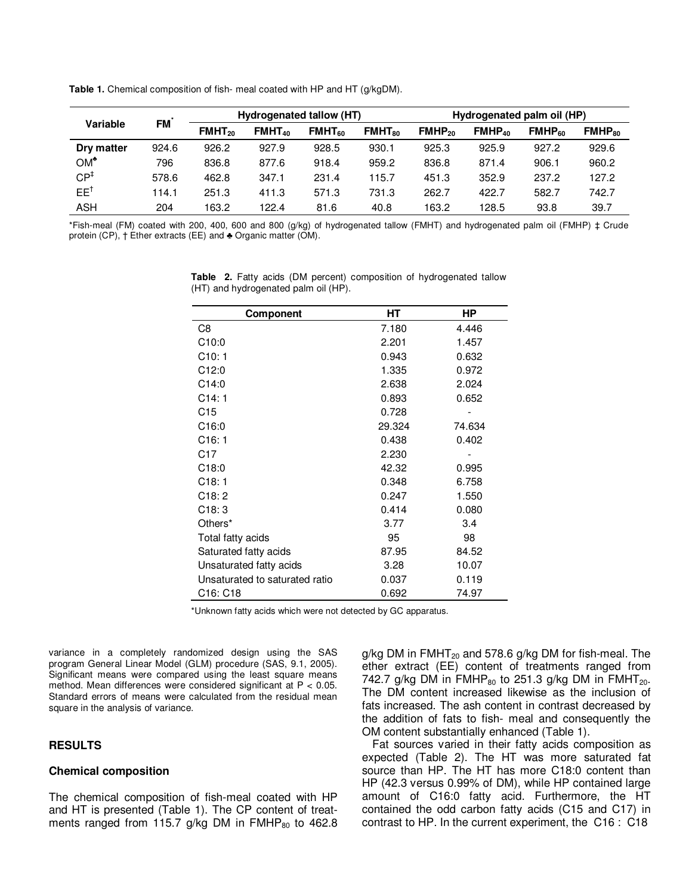**Table 1.** Chemical composition of fish- meal coated with HP and HT (g/kgDM).

|                 | <b>FM</b> |                    |             | Hydrogenated tallow (HT) |                          | Hydrogenated palm oil (HP) |             |                    |                    |  |
|-----------------|-----------|--------------------|-------------|--------------------------|--------------------------|----------------------------|-------------|--------------------|--------------------|--|
| <b>Variable</b> |           | FMHT <sub>20</sub> | $FMHT_{40}$ | $FMHT_{60}$              | <b>FMHT<sub>80</sub></b> | $FMHP_{20}$                | $FMHP_{40}$ | FMHP <sub>60</sub> | FMHP <sub>80</sub> |  |
| Dry matter      | 924.6     | 926.2              | 927.9       | 928.5                    | 930.1                    | 925.3                      | 925.9       | 927.2              | 929.6              |  |
| $OM^*$          | 796       | 836.8              | 877.6       | 918.4                    | 959.2                    | 836.8                      | 871.4       | 906.1              | 960.2              |  |
| CP <sup>‡</sup> | 578.6     | 462.8              | 347.1       | 231.4                    | 115.7                    | 451.3                      | 352.9       | 237.2              | 127.2              |  |
| $EE^{\dagger}$  | 114.1     | 251.3              | 411.3       | 571.3                    | 731.3                    | 262.7                      | 422.7       | 582.7              | 742.7              |  |
| <b>ASH</b>      | 204       | 163.2              | 122.4       | 81.6                     | 40.8                     | 163.2                      | 128.5       | 93.8               | 39.7               |  |

\*Fish-meal (FM) coated with 200, 400, 600 and 800 (g/kg) of hydrogenated tallow (FMHT) and hydrogenated palm oil (FMHP) ‡ Crude protein (CP), † Ether extracts (EE) and ♣ Organic matter (OM).

> **Table 2.** Fatty acids (DM percent) composition of hydrogenated tallow (HT) and hydrogenated palm oil (HP).

| <b>Component</b>               | НT     | HР     |
|--------------------------------|--------|--------|
| C8                             | 7.180  | 4.446  |
| C10:0                          | 2.201  | 1.457  |
| C10:1                          | 0.943  | 0.632  |
| C12:0                          | 1.335  | 0.972  |
| C14:0                          | 2.638  | 2.024  |
| C14:1                          | 0.893  | 0.652  |
| C <sub>15</sub>                | 0.728  |        |
| C <sub>16:0</sub>              | 29.324 | 74.634 |
| C16:1                          | 0.438  | 0.402  |
| C <sub>17</sub>                | 2.230  |        |
| C18:0                          | 42.32  | 0.995  |
| C18:1                          | 0.348  | 6.758  |
| C18:2                          | 0.247  | 1.550  |
| C18:3                          | 0.414  | 0.080  |
| Others*                        | 3.77   | 3.4    |
| Total fatty acids              | 95     | 98     |
| Saturated fatty acids          | 87.95  | 84.52  |
| Unsaturated fatty acids        | 3.28   | 10.07  |
| Unsaturated to saturated ratio | 0.037  | 0.119  |
| C16: C18                       | 0.692  | 74.97  |

\*Unknown fatty acids which were not detected by GC apparatus.

variance in a completely randomized design using the SAS program General Linear Model (GLM) procedure (SAS, 9.1, 2005). Significant means were compared using the least square means method. Mean differences were considered significant at  $P < 0.05$ . Standard errors of means were calculated from the residual mean square in the analysis of variance.

## **RESULTS**

#### **Chemical composition**

The chemical composition of fish-meal coated with HP and HT is presented (Table 1). The CP content of treatments ranged from 115.7 g/kg DM in  $FMH_{80}$  to 462.8 g/kg DM in  $FMHT_{20}$  and 578.6 g/kg DM for fish-meal. The ether extract (EE) content of treatments ranged from 742.7 g/kg DM in  $FMHP_{80}$  to 251.3 g/kg DM in  $FMHT_{20}$ . The DM content increased likewise as the inclusion of fats increased. The ash content in contrast decreased by the addition of fats to fish- meal and consequently the OM content substantially enhanced (Table 1).

Fat sources varied in their fatty acids composition as expected (Table 2). The HT was more saturated fat source than HP. The HT has more C18:0 content than HP (42.3 versus 0.99% of DM), while HP contained large amount of C16:0 fatty acid. Furthermore, the HT contained the odd carbon fatty acids (C15 and C17) in contrast to HP. In the current experiment, the C16 : C18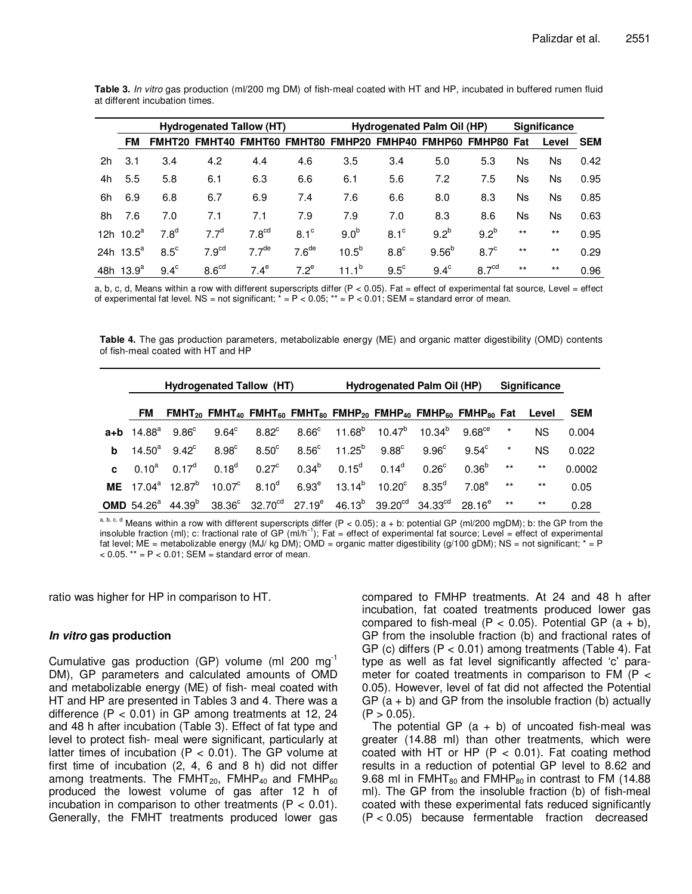|    | <b>Hydrogenated Tallow (HT)</b> |                  |                   |                   |                   | <b>Hydrogenated Palm Oil (HP)</b> |                                               |                  |                   | <b>Significance</b> |       |            |
|----|---------------------------------|------------------|-------------------|-------------------|-------------------|-----------------------------------|-----------------------------------------------|------------------|-------------------|---------------------|-------|------------|
|    | FM                              | <b>FMHT20</b>    | <b>FMHT40</b>     |                   |                   |                                   | FMHT60 FMHT80 FMHP20 FMHP40 FMHP60 FMHP80 Fat |                  |                   |                     | Level | <b>SEM</b> |
| 2h | 3.1                             | 3.4              | 4.2               | 4.4               | 4.6               | 3.5                               | 3.4                                           | 5.0              | 5.3               | Ns                  | Ns    | 0.42       |
| 4h | 5.5                             | 5.8              | 6.1               | 6.3               | 6.6               | 6.1                               | 5.6                                           | 7.2              | 7.5               | Ns                  | Ns.   | 0.95       |
| 6h | 6.9                             | 6.8              | 6.7               | 6.9               | 7.4               | 7.6                               | 6.6                                           | 8.0              | 8.3               | Ns                  | Ns.   | 0.85       |
| 8h | 7.6                             | 7.0              | 7.1               | 7.1               | 7.9               | 7.9                               | 7.0                                           | 8.3              | 8.6               | Ns                  | Ns.   | 0.63       |
|    | 12h $10.2^a$                    | 7.8 <sup>d</sup> | 7.7 <sup>d</sup>  | 7.8 <sup>cd</sup> | $8.1^\circ$       | 9.0 <sup>b</sup>                  | $8.1^\circ$                                   | 9.2 <sup>b</sup> | 9.2 <sup>b</sup>  | $***$               | $***$ | 0.95       |
|    | 24h $13.5^a$                    | $8.5^{\circ}$    | 7.9 <sup>cd</sup> | 7.7 <sup>de</sup> | 7.6 <sup>de</sup> | $10.5^{b}$                        | $8.8^\circ$                                   | $9.56^{b}$       | $8.7^\circ$       | $***$               | $***$ | 0.29       |
|    | 48h $13.9^a$                    | $9.4^\circ$      | 8.6 <sup>cd</sup> | $7.4^\mathrm{e}$  | $7.2^e$           | $11.1^b$                          | $9.5^{\circ}$                                 | $9.4^\circ$      | 8.7 <sup>cd</sup> | $***$               | $***$ | 0.96       |

**Table 3.** In vitro gas production (ml/200 mg DM) of fish-meal coated with HT and HP, incubated in buffered rumen fluid at different incubation times.

a, b, c, d, Means within a row with different superscripts differ ( $P < 0.05$ ). Fat = effect of experimental fat source, Level = effect of experimental fat level. NS = not significant;  $* = P < 0.05$ ;  $* = P < 0.01$ ; SEM = standard error of mean.

**Table 4.** The gas production parameters, metabolizable energy (ME) and organic matter digestibility (OMD) contents of fish-meal coated with HT and HP

|              |               |                                                 |                 | Hydrogenated Tallow (HT)                                                                                   | Hydrogenated Palm Oil (HP) |                   |                                                                                                                                                            |                |                   | <b>Significance</b> |           |            |
|--------------|---------------|-------------------------------------------------|-----------------|------------------------------------------------------------------------------------------------------------|----------------------------|-------------------|------------------------------------------------------------------------------------------------------------------------------------------------------------|----------------|-------------------|---------------------|-----------|------------|
|              | FM.           |                                                 |                 |                                                                                                            |                            |                   | $FMHT_{20}$ FMHT <sub>40</sub> FMHT <sub>60</sub> FMHT <sub>80</sub> FMHP <sub>20</sub> FMHP <sub>40</sub> FMHP <sub>60</sub> FMHP <sub>80</sub> Fat Level |                |                   |                     |           | <b>SEM</b> |
|              |               | $a+b$ 14.88 <sup>a</sup> 9.86 <sup>c</sup>      | $9.64^{\circ}$  |                                                                                                            |                            |                   | $8.82^{\circ}$ $8.66^{\circ}$ $11.68^{\circ}$ $10.47^{\circ}$ $10.34^{\circ}$ $9.68^{\circ}$                                                               |                |                   | $^\star$            | <b>NS</b> | 0.004      |
| b            | $14.50^\circ$ | $9.42^{\circ}$                                  | $8.98^{\circ}$  | $8.50^\circ$                                                                                               |                            |                   | $8.56^{\circ}$ 11.25 <sup>b</sup> 9.88 <sup>c</sup>                                                                                                        | $9.96^{\circ}$ | $9.54^{\circ}$    | $\star$             | <b>NS</b> | 0.022      |
| $\mathbf{c}$ |               | $0.10^a$ $0.17^d$                               | $0.18^d$        | $0.27^{\circ}$                                                                                             | $0.34^{b}$                 | $0.15^{\text{d}}$ | $0.14^{\mathsf{d}}$                                                                                                                                        | $0.26^{\circ}$ | $0.36^{b}$        | $***$               | $***$     | 0.0002     |
|              |               | <b>ME</b> 17.04 <sup>a</sup> 12.87 <sup>b</sup> | $10.07^{\circ}$ | 8.10 <sup>d</sup>                                                                                          | $6.93^e$                   |                   | $13.14^{\mathrm{b}}$ $10.20^{\mathrm{c}}$                                                                                                                  | $8.35^{\rm d}$ | 7.08 <sup>e</sup> | $***$               | $***$     | 0.05       |
|              |               |                                                 |                 | <b>OMD</b> 54.26 <sup>a</sup> 44.39 <sup>b</sup> 38.36 <sup>c</sup> 32.70 <sup>cd</sup> 27.19 <sup>e</sup> |                            |                   | $46.13^{b}$ 39.20 <sup>cd</sup> 34.33 <sup>cd</sup> 28.16 <sup>e</sup>                                                                                     |                |                   | $***$               | $***$     | 0.28       |

a, b, c, d Means within a row with different superscripts differ  $(P < 0.05)$ ; a + b: potential GP (ml/200 mgDM); b: the GP from the insoluble fraction (ml); c: fractional rate of GP (ml/h−1); Fat = effect of experimental fat source; Level = effect of experimental fat level; ME = metabolizable energy (MJ/ kg DM); OMD = organic matter digestibility (g/100 gDM); NS = not significant;  $* = P$  $< 0.05$ . \*\* = P  $< 0.01$ ; SEM = standard error of mean.

ratio was higher for HP in comparison to HT.

## **In vitro gas production**

Cumulative gas production (GP) volume (ml 200 mg $^{-1}$ DM), GP parameters and calculated amounts of OMD and metabolizable energy (ME) of fish- meal coated with HT and HP are presented in Tables 3 and 4. There was a difference  $(P < 0.01)$  in GP among treatments at 12, 24 and 48 h after incubation (Table 3). Effect of fat type and level to protect fish- meal were significant, particularly at latter times of incubation ( $P < 0.01$ ). The GP volume at first time of incubation (2, 4, 6 and 8 h) did not differ among treatments. The FMHT<sub>20</sub>, FMHP<sub>40</sub> and FMHP<sub>60</sub> produced the lowest volume of gas after 12 h of incubation in comparison to other treatments ( $P < 0.01$ ). Generally, the FMHT treatments produced lower gas compared to FMHP treatments. At 24 and 48 h after incubation, fat coated treatments produced lower gas compared to fish-meal ( $P < 0.05$ ). Potential GP ( $a + b$ ), GP from the insoluble fraction (b) and fractional rates of GP (c) differs  $(P < 0.01)$  among treatments (Table 4). Fat type as well as fat level significantly affected 'c' parameter for coated treatments in comparison to FM  $(P <$ 0.05). However, level of fat did not affected the Potential GP  $(a + b)$  and GP from the insoluble fraction (b) actually  $(P > 0.05)$ .

The potential GP  $(a + b)$  of uncoated fish-meal was greater (14.88 ml) than other treatments, which were coated with HT or HP  $(P < 0.01)$ . Fat coating method results in a reduction of potential GP level to 8.62 and 9.68 ml in  $FMHT_{80}$  and  $FMHP_{80}$  in contrast to FM (14.88) ml). The GP from the insoluble fraction (b) of fish-meal coated with these experimental fats reduced significantly (P < 0.05) because fermentable fraction decreased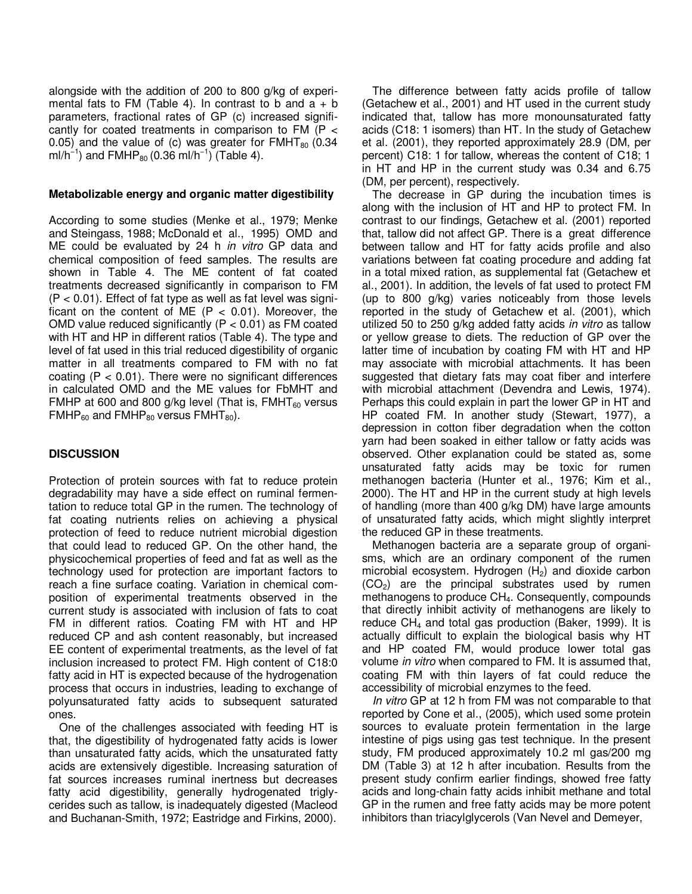alongside with the addition of 200 to 800 g/kg of experimental fats to FM (Table 4). In contrast to b and  $a + b$ parameters, fractional rates of GP (c) increased significantly for coated treatments in comparison to FM (P < 0.05) and the value of (c) was greater for  $FMHT_{80}$  (0.34 ml/h<sup>-1</sup>) and FMHP<sub>80</sub> (0.36 ml/h<sup>-1</sup>) (Table 4).

## **Metabolizable energy and organic matter digestibility**

According to some studies (Menke et al., 1979; Menke and Steingass, 1988; McDonald et al., 1995) OMD and ME could be evaluated by 24 h in vitro GP data and chemical composition of feed samples. The results are shown in Table 4. The ME content of fat coated treatments decreased significantly in comparison to FM  $(P < 0.01)$ . Effect of fat type as well as fat level was significant on the content of ME  $(P < 0.01)$ . Moreover, the OMD value reduced significantly  $(P < 0.01)$  as FM coated with HT and HP in different ratios (Table 4). The type and level of fat used in this trial reduced digestibility of organic matter in all treatments compared to FM with no fat coating ( $P < 0.01$ ). There were no significant differences in calculated OMD and the ME values for FbMHT and FMHP at 600 and 800 g/kg level (That is,  $FMHT_{60}$  versus FMHP $_{60}$  and FMHP $_{80}$  versus FMHT $_{80}$ ).

# **DISCUSSION**

Protection of protein sources with fat to reduce protein degradability may have a side effect on ruminal fermentation to reduce total GP in the rumen. The technology of fat coating nutrients relies on achieving a physical protection of feed to reduce nutrient microbial digestion that could lead to reduced GP. On the other hand, the physicochemical properties of feed and fat as well as the technology used for protection are important factors to reach a fine surface coating. Variation in chemical composition of experimental treatments observed in the current study is associated with inclusion of fats to coat FM in different ratios. Coating FM with HT and HP reduced CP and ash content reasonably, but increased EE content of experimental treatments, as the level of fat inclusion increased to protect FM. High content of C18:0 fatty acid in HT is expected because of the hydrogenation process that occurs in industries, leading to exchange of polyunsaturated fatty acids to subsequent saturated ones.

One of the challenges associated with feeding HT is that, the digestibility of hydrogenated fatty acids is lower than unsaturated fatty acids, which the unsaturated fatty acids are extensively digestible. Increasing saturation of fat sources increases ruminal inertness but decreases fatty acid digestibility, generally hydrogenated triglycerides such as tallow, is inadequately digested (Macleod and Buchanan-Smith, 1972; Eastridge and Firkins, 2000).

The difference between fatty acids profile of tallow (Getachew et al., 2001) and HT used in the current study indicated that, tallow has more monounsaturated fatty acids (C18: 1 isomers) than HT. In the study of Getachew et al. (2001), they reported approximately 28.9 (DM, per percent) C18: 1 for tallow, whereas the content of C18; 1 in HT and HP in the current study was 0.34 and 6.75 (DM, per percent), respectively.

The decrease in GP during the incubation times is along with the inclusion of HT and HP to protect FM. In contrast to our findings, Getachew et al. (2001) reported that, tallow did not affect GP. There is a great difference between tallow and HT for fatty acids profile and also variations between fat coating procedure and adding fat in a total mixed ration, as supplemental fat (Getachew et al., 2001). In addition, the levels of fat used to protect FM (up to 800 g/kg) varies noticeably from those levels reported in the study of Getachew et al. (2001), which utilized 50 to 250 g/kg added fatty acids in vitro as tallow or yellow grease to diets. The reduction of GP over the latter time of incubation by coating FM with HT and HP may associate with microbial attachments. It has been suggested that dietary fats may coat fiber and interfere with microbial attachment (Devendra and Lewis, 1974). Perhaps this could explain in part the lower GP in HT and HP coated FM. In another study (Stewart, 1977), a depression in cotton fiber degradation when the cotton yarn had been soaked in either tallow or fatty acids was observed. Other explanation could be stated as, some unsaturated fatty acids may be toxic for rumen methanogen bacteria (Hunter et al., 1976; Kim et al., 2000). The HT and HP in the current study at high levels of handling (more than 400 g/kg DM) have large amounts of unsaturated fatty acids, which might slightly interpret the reduced GP in these treatments.

Methanogen bacteria are a separate group of organisms, which are an ordinary component of the rumen microbial ecosystem. Hydrogen  $(H<sub>2</sub>)$  and dioxide carbon  $(CO<sub>2</sub>)$  are the principal substrates used by rumen methanogens to produce CH<sub>4</sub>. Consequently, compounds that directly inhibit activity of methanogens are likely to reduce  $CH<sub>4</sub>$  and total gas production (Baker, 1999). It is actually difficult to explain the biological basis why HT and HP coated FM, would produce lower total gas volume in vitro when compared to FM. It is assumed that, coating FM with thin layers of fat could reduce the accessibility of microbial enzymes to the feed.

In vitro GP at 12 h from FM was not comparable to that reported by Cone et al., (2005), which used some protein sources to evaluate protein fermentation in the large intestine of pigs using gas test technique. In the present study, FM produced approximately 10.2 ml gas/200 mg DM (Table 3) at 12 h after incubation. Results from the present study confirm earlier findings, showed free fatty acids and long-chain fatty acids inhibit methane and total GP in the rumen and free fatty acids may be more potent inhibitors than triacylglycerols (Van Nevel and Demeyer,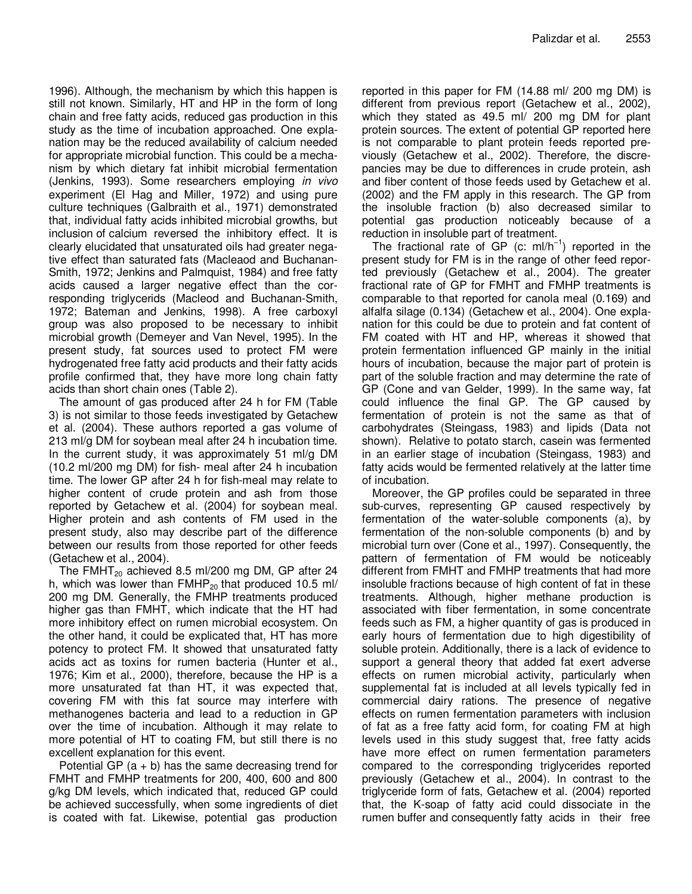1996). Although, the mechanism by which this happen is still not known. Similarly, HT and HP in the form of long chain and free fatty acids, reduced gas production in this study as the time of incubation approached. One explanation may be the reduced availability of calcium needed for appropriate microbial function. This could be a mechanism by which dietary fat inhibit microbial fermentation (Jenkins, 1993). Some researchers employing in vivo experiment (El Hag and Miller, 1972) and using pure culture techniques (Galbraith et al., 1971) demonstrated that, individual fatty acids inhibited microbial growths, but inclusion of calcium reversed the inhibitory effect. It is clearly elucidated that unsaturated oils had greater negative effect than saturated fats (Macleaod and Buchanan-Smith, 1972; Jenkins and Palmquist, 1984) and free fatty acids caused a larger negative effect than the corresponding triglycerids (Macleod and Buchanan-Smith, 1972; Bateman and Jenkins, 1998). A free carboxyl group was also proposed to be necessary to inhibit microbial growth (Demeyer and Van Nevel, 1995). In the present study, fat sources used to protect FM were hydrogenated free fatty acid products and their fatty acids profile confirmed that, they have more long chain fatty acids than short chain ones (Table 2).

The amount of gas produced after 24 h for FM (Table 3) is not similar to those feeds investigated by Getachew et al. (2004). These authors reported a gas volume of 213 ml/g DM for soybean meal after 24 h incubation time. In the current study, it was approximately 51 ml/g DM (10.2 ml/200 mg DM) for fish- meal after 24 h incubation time. The lower GP after 24 h for fish-meal may relate to higher content of crude protein and ash from those reported by Getachew et al. (2004) for soybean meal. Higher protein and ash contents of FM used in the present study, also may describe part of the difference between our results from those reported for other feeds (Getachew et al., 2004).

The FMHT $_{20}$  achieved 8.5 ml/200 mg DM, GP after 24 h, which was lower than  $FMHP_{20}$  that produced 10.5 ml/ 200 mg DM. Generally, the FMHP treatments produced higher gas than FMHT, which indicate that the HT had more inhibitory effect on rumen microbial ecosystem. On the other hand, it could be explicated that, HT has more potency to protect FM. It showed that unsaturated fatty acids act as toxins for rumen bacteria (Hunter et al., 1976; Kim et al., 2000), therefore, because the HP is a more unsaturated fat than HT, it was expected that, covering FM with this fat source may interfere with methanogenes bacteria and lead to a reduction in GP over the time of incubation. Although it may relate to more potential of HT to coating FM, but still there is no excellent explanation for this event.

Potential GP  $(a + b)$  has the same decreasing trend for FMHT and FMHP treatments for 200, 400, 600 and 800 g/kg DM levels, which indicated that, reduced GP could be achieved successfully, when some ingredients of diet is coated with fat. Likewise, potential gas production

reported in this paper for FM (14.88 ml/ 200 mg DM) is different from previous report (Getachew et al., 2002), which they stated as 49.5 ml/ 200 mg DM for plant protein sources. The extent of potential GP reported here is not comparable to plant protein feeds reported previously (Getachew et al., 2002). Therefore, the discrepancies may be due to differences in crude protein, ash and fiber content of those feeds used by Getachew et al. (2002) and the FM apply in this research. The GP from the insoluble fraction (b) also decreased similar to potential gas production noticeably because of a reduction in insoluble part of treatment.

The fractional rate of GP (c: ml/h<sup>-1</sup>) reported in the present study for FM is in the range of other feed reported previously (Getachew et al., 2004). The greater fractional rate of GP for FMHT and FMHP treatments is comparable to that reported for canola meal (0.169) and alfalfa silage (0.134) (Getachew et al., 2004). One explanation for this could be due to protein and fat content of FM coated with HT and HP, whereas it showed that protein fermentation influenced GP mainly in the initial hours of incubation, because the major part of protein is part of the soluble fraction and may determine the rate of GP (Cone and van Gelder, 1999). In the same way, fat could influence the final GP. The GP caused by fermentation of protein is not the same as that of carbohydrates (Steingass, 1983) and lipids (Data not shown). Relative to potato starch, casein was fermented in an earlier stage of incubation (Steingass, 1983) and fatty acids would be fermented relatively at the latter time of incubation.

Moreover, the GP profiles could be separated in three sub-curves, representing GP caused respectively by fermentation of the water-soluble components (a), by fermentation of the non-soluble components (b) and by microbial turn over (Cone et al., 1997). Consequently, the pattern of fermentation of FM would be noticeably different from FMHT and FMHP treatments that had more insoluble fractions because of high content of fat in these treatments. Although, higher methane production is associated with fiber fermentation, in some concentrate feeds such as FM, a higher quantity of gas is produced in early hours of fermentation due to high digestibility of soluble protein. Additionally, there is a lack of evidence to support a general theory that added fat exert adverse effects on rumen microbial activity, particularly when supplemental fat is included at all levels typically fed in commercial dairy rations. The presence of negative effects on rumen fermentation parameters with inclusion of fat as a free fatty acid form, for coating FM at high levels used in this study suggest that, free fatty acids have more effect on rumen fermentation parameters compared to the corresponding triglycerides reported previously (Getachew et al., 2004). In contrast to the triglyceride form of fats, Getachew et al. (2004) reported that, the K-soap of fatty acid could dissociate in the rumen buffer and consequently fatty acids in their free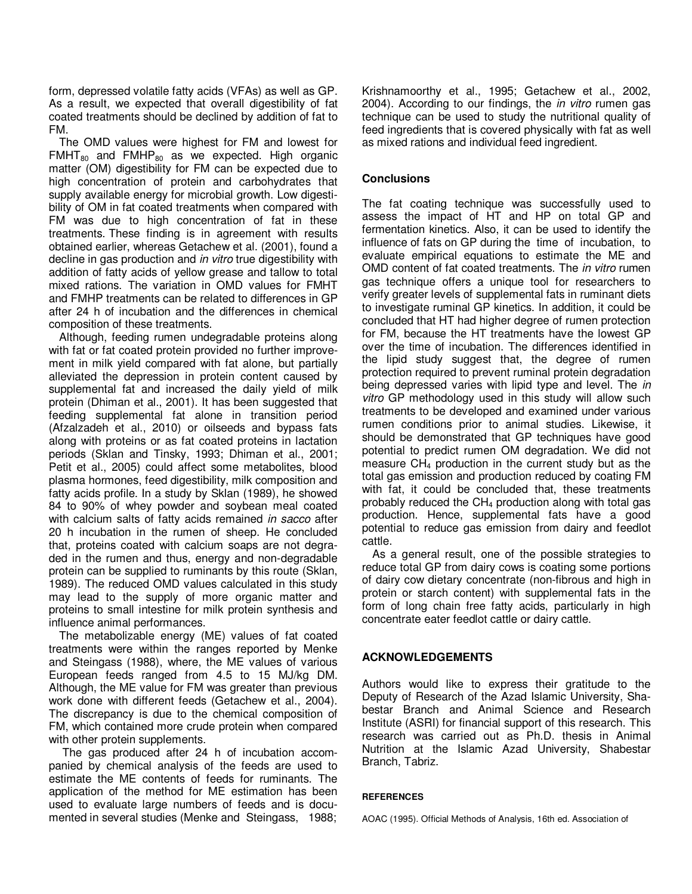form, depressed volatile fatty acids (VFAs) as well as GP. As a result, we expected that overall digestibility of fat coated treatments should be declined by addition of fat to FM.

The OMD values were highest for FM and lowest for  $FMHT_{80}$  and  $FMHP_{80}$  as we expected. High organic matter (OM) digestibility for FM can be expected due to high concentration of protein and carbohydrates that supply available energy for microbial growth. Low digestibility of OM in fat coated treatments when compared with FM was due to high concentration of fat in these treatments. These finding is in agreement with results obtained earlier, whereas Getachew et al. (2001), found a decline in gas production and *in vitro* true digestibility with addition of fatty acids of yellow grease and tallow to total mixed rations. The variation in OMD values for FMHT and FMHP treatments can be related to differences in GP after 24 h of incubation and the differences in chemical composition of these treatments.

Although, feeding rumen undegradable proteins along with fat or fat coated protein provided no further improvement in milk yield compared with fat alone, but partially alleviated the depression in protein content caused by supplemental fat and increased the daily yield of milk protein (Dhiman et al., 2001). It has been suggested that feeding supplemental fat alone in transition period (Afzalzadeh et al., 2010) or oilseeds and bypass fats along with proteins or as fat coated proteins in lactation periods (Sklan and Tinsky, 1993; Dhiman et al., 2001; Petit et al., 2005) could affect some metabolites, blood plasma hormones, feed digestibility, milk composition and fatty acids profile. In a study by Sklan (1989), he showed 84 to 90% of whey powder and soybean meal coated with calcium salts of fatty acids remained in sacco after 20 h incubation in the rumen of sheep. He concluded that, proteins coated with calcium soaps are not degraded in the rumen and thus, energy and non-degradable protein can be supplied to ruminants by this route (Sklan, 1989). The reduced OMD values calculated in this study may lead to the supply of more organic matter and proteins to small intestine for milk protein synthesis and influence animal performances.

The metabolizable energy (ME) values of fat coated treatments were within the ranges reported by Menke and Steingass (1988), where, the ME values of various European feeds ranged from 4.5 to 15 MJ/kg DM. Although, the ME value for FM was greater than previous work done with different feeds (Getachew et al., 2004). The discrepancy is due to the chemical composition of FM, which contained more crude protein when compared with other protein supplements.

 The gas produced after 24 h of incubation accompanied by chemical analysis of the feeds are used to estimate the ME contents of feeds for ruminants. The application of the method for ME estimation has been used to evaluate large numbers of feeds and is documented in several studies (Menke and Steingass, 1988;

Krishnamoorthy et al., 1995; Getachew et al., 2002, 2004). According to our findings, the *in vitro* rumen gas technique can be used to study the nutritional quality of feed ingredients that is covered physically with fat as well as mixed rations and individual feed ingredient.

## **Conclusions**

The fat coating technique was successfully used to assess the impact of HT and HP on total GP and fermentation kinetics. Also, it can be used to identify the influence of fats on GP during the time of incubation, to evaluate empirical equations to estimate the ME and OMD content of fat coated treatments. The in vitro rumen gas technique offers a unique tool for researchers to verify greater levels of supplemental fats in ruminant diets to investigate ruminal GP kinetics. In addition, it could be concluded that HT had higher degree of rumen protection for FM, because the HT treatments have the lowest GP over the time of incubation. The differences identified in the lipid study suggest that, the degree of rumen protection required to prevent ruminal protein degradation being depressed varies with lipid type and level. The in vitro GP methodology used in this study will allow such treatments to be developed and examined under various rumen conditions prior to animal studies. Likewise, it should be demonstrated that GP techniques have good potential to predict rumen OM degradation. We did not measure  $CH<sub>4</sub>$  production in the current study but as the total gas emission and production reduced by coating FM with fat, it could be concluded that, these treatments probably reduced the CH<sub>4</sub> production along with total gas production. Hence, supplemental fats have a good potential to reduce gas emission from dairy and feedlot cattle.

As a general result, one of the possible strategies to reduce total GP from dairy cows is coating some portions of dairy cow dietary concentrate (non-fibrous and high in protein or starch content) with supplemental fats in the form of long chain free fatty acids, particularly in high concentrate eater feedlot cattle or dairy cattle.

## **ACKNOWLEDGEMENTS**

Authors would like to express their gratitude to the Deputy of Research of the Azad Islamic University, Shabestar Branch and Animal Science and Research Institute (ASRI) for financial support of this research. This research was carried out as Ph.D. thesis in Animal Nutrition at the Islamic Azad University, Shabestar Branch, Tabriz.

## **REFERENCES**

AOAC (1995). Official Methods of Analysis, 16th ed. Association of